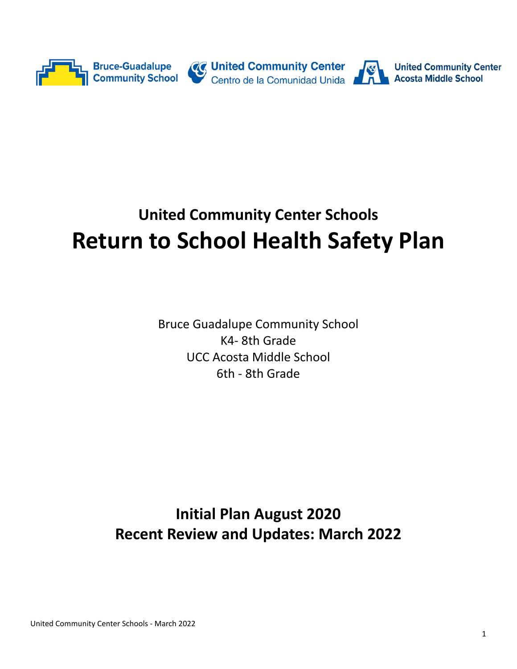

# **United Community Center Schools Return to School Health Safety Plan**

Bruce Guadalupe Community School K4- 8th Grade UCC Acosta Middle School 6th - 8th Grade

**Initial Plan August 2020 Recent Review and Updates: March 2022**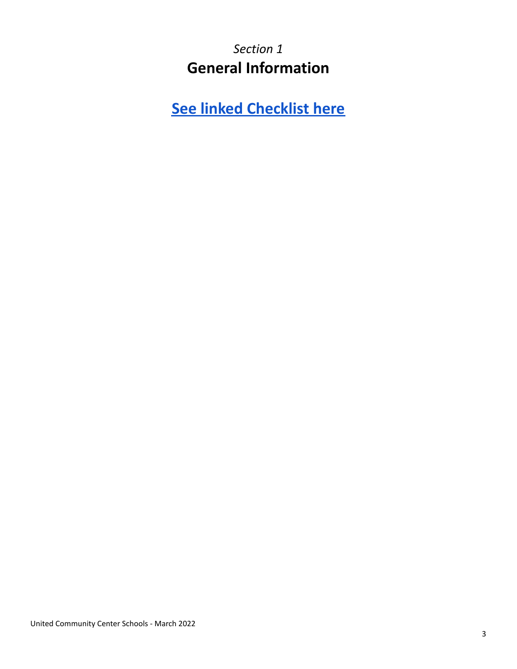*Section 1* **General Information**

**See linked [Checklist](https://docs.google.com/document/d/13w3fxTtrRtwAMAwth2AIoesYHB1EV5OTEcMpyRLjdIg/edit?usp=sharing) here**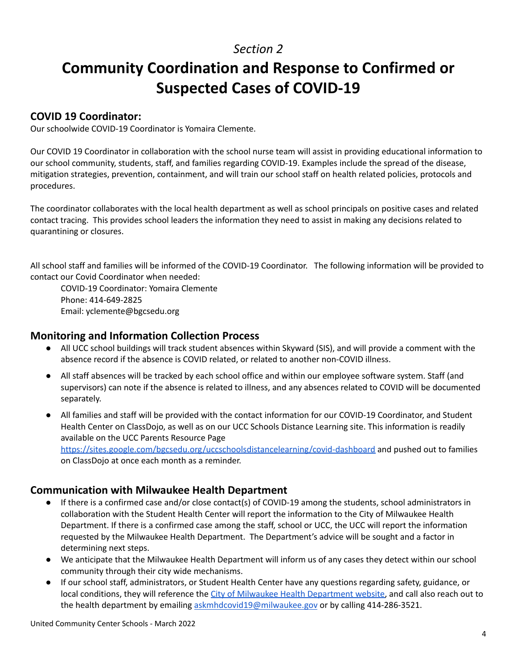# **Community Coordination and Response to Confirmed or Suspected Cases of COVID-19**

#### **COVID 19 Coordinator:**

Our schoolwide COVID-19 Coordinator is Yomaira Clemente.

Our COVID 19 Coordinator in collaboration with the school nurse team will assist in providing educational information to our school community, students, staff, and families regarding COVID-19. Examples include the spread of the disease, mitigation strategies, prevention, containment, and will train our school staff on health related policies, protocols and procedures.

The coordinator collaborates with the local health department as well as school principals on positive cases and related contact tracing. This provides school leaders the information they need to assist in making any decisions related to quarantining or closures.

All school staff and families will be informed of the COVID-19 Coordinator. The following information will be provided to contact our Covid Coordinator when needed:

COVID-19 Coordinator: Yomaira Clemente Phone: 414-649-2825 Email: yclemente@bgcsedu.org

#### **Monitoring and Information Collection Process**

- All UCC school buildings will track student absences within Skyward (SIS), and will provide a comment with the absence record if the absence is COVID related, or related to another non-COVID illness.
- All staff absences will be tracked by each school office and within our employee software system. Staff (and supervisors) can note if the absence is related to illness, and any absences related to COVID will be documented separately.
- All families and staff will be provided with the contact information for our COVID-19 Coordinator, and Student Health Center on ClassDojo, as well as on our UCC Schools Distance Learning site. This information is readily available on the UCC Parents Resource Page <https://sites.google.com/bgcsedu.org/uccschoolsdistancelearning/covid-dashboard> and pushed out to families on ClassDojo at once each month as a reminder.

## **Communication with Milwaukee Health Department**

- If there is a confirmed case and/or close contact(s) of COVID-19 among the students, school administrators in collaboration with the Student Health Center will report the information to the City of Milwaukee Health Department. If there is a confirmed case among the staff, school or UCC, the UCC will report the information requested by the Milwaukee Health Department. The Department's advice will be sought and a factor in determining next steps.
- We anticipate that the Milwaukee Health Department will inform us of any cases they detect within our school community through their city wide mechanisms.
- If our school staff, administrators, or Student Health Center have any questions regarding safety, guidance, or local conditions, they will reference the City of Milwaukee Health [Department](https://city.milwaukee.gov/coronavirus) website, and call also reach out to the health department by emailing [askmhdcovid19@milwaukee.gov](mailto:askmhdcovid19@milwaukee.gov) or by calling 414-286-3521.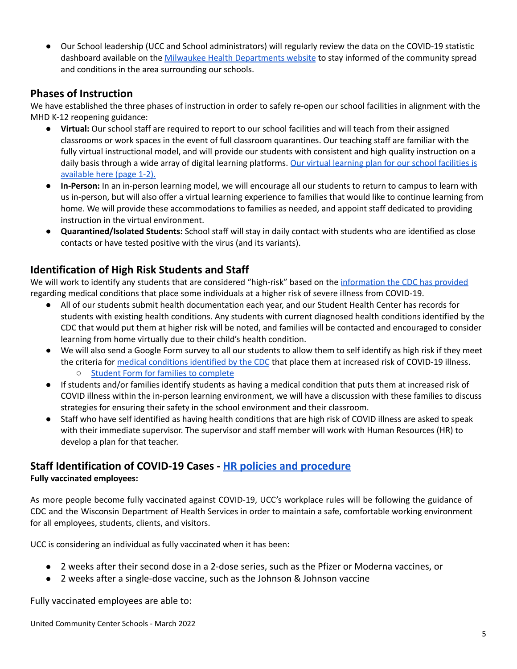Our School leadership (UCC and School administrators) will regularly review the data on the COVID-19 statistic dashboard available on the Milwaukee Health [Departments](https://city.milwaukee.gov/coronavirus) website to stay informed of the community spread and conditions in the area surrounding our schools.

## **Phases of Instruction**

We have established the three phases of instruction in order to safely re-open our school facilities in alignment with the MHD K-12 reopening guidance:

- **Virtual:** Our school staff are required to report to our school facilities and will teach from their assigned classrooms or work spaces in the event of full classroom quarantines. Our teaching staff are familiar with the fully virtual instructional model, and will provide our students with consistent and high quality instruction on a daily basis through a wide array of digital learning platforms. Our virtual learning plan for our school [facilities](https://docs.google.com/document/d/1ARQACXTiw8yfq98I8xzjieRroY2jtLtcqTldqF4wmpo/edit?usp=sharing) is [available](https://docs.google.com/document/d/1ARQACXTiw8yfq98I8xzjieRroY2jtLtcqTldqF4wmpo/edit?usp=sharing) here (page 1-2).
- **● In-Person:** In an in-person learning model, we will encourage all our students to return to campus to learn with us in-person, but will also offer a virtual learning experience to families that would like to continue learning from home. We will provide these accommodations to families as needed, and appoint staff dedicated to providing instruction in the virtual environment.
- **● Quarantined/Isolated Students:** School staff will stay in daily contact with students who are identified as close contacts or have tested positive with the virus (and its variants).

## **Identification of High Risk Students and Staff**

We will work to identify any students that are considered "high-risk" based on the [information](https://www.cdc.gov/coronavirus/2019-ncov/need-extra-precautions/people-with-medical-conditions.html?CDC_AA_refVal=https%3A%2F%2Fwww.cdc.gov%2Fcoronavirus%2F2019-ncov%2Fneed-extra-precautions%2Fgroups-at-higher-risk.html) the CDC has provided regarding medical conditions that place some individuals at a higher risk of severe illness from COVID-19.

- All of our students submit health documentation each year, and our Student Health Center has records for students with existing health conditions. Any students with current diagnosed health conditions identified by the CDC that would put them at higher risk will be noted, and families will be contacted and encouraged to consider learning from home virtually due to their child's health condition.
- We will also send a Google Form survey to all our students to allow them to self identify as high risk if they meet the criteria for medical [conditions](https://www.cdc.gov/coronavirus/2019-ncov/need-extra-precautions/people-with-medical-conditions.html?CDC_AA_refVal=https%3A%2F%2Fwww.cdc.gov%2Fcoronavirus%2F2019-ncov%2Fneed-extra-precautions%2Fgroups-at-higher-risk.html#obesity) identified by the CDC that place them at increased risk of COVID-19 illness. ○ Student Form for families to [complete](https://forms.gle/1A18VGqNm7Gcd8zT6)
- If students and/or families identify students as having a medical condition that puts them at increased risk of COVID illness within the in-person learning environment, we will have a discussion with these families to discuss strategies for ensuring their safety in the school environment and their classroom.
- Staff who have self identified as having health conditions that are high risk of COVID illness are asked to speak with their immediate supervisor. The supervisor and staff member will work with Human Resources (HR) to develop a plan for that teacher.

## **Staff Identification of COVID-19 Cases - HR policies and [procedure](https://youtu.be/qYR6sZnIa6o) Fully vaccinated employees:**

As more people become fully vaccinated against COVID-19, UCC's workplace rules will be following the guidance of CDC and the Wisconsin Department of Health Services in order to maintain a safe, comfortable working environment for all employees, students, clients, and visitors.

UCC is considering an individual as fully vaccinated when it has been:

- 2 weeks after their second dose in a 2-dose series, such as the Pfizer or Moderna vaccines, or
- 2 weeks after a single-dose vaccine, such as the Johnson & Johnson vaccine

Fully vaccinated employees are able to: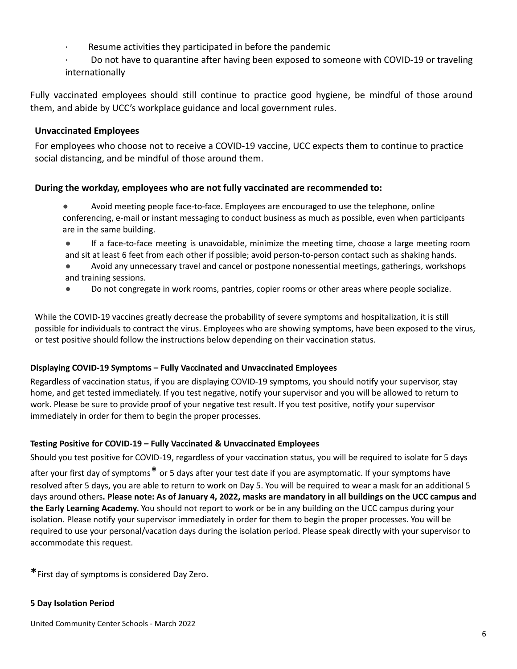- Resume activities they participated in before the pandemic
- · Do not have to quarantine after having been exposed to someone with COVID-19 or traveling internationally

Fully vaccinated employees should still continue to practice good hygiene, be mindful of those around them, and abide by UCC's workplace guidance and local government rules.

#### **Unvaccinated Employees**

For employees who choose not to receive a COVID-19 vaccine, UCC expects them to continue to practice social distancing, and be mindful of those around them.

#### **During the workday, employees who are not fully vaccinated are recommended to:**

- Avoid meeting people face-to-face. Employees are encouraged to use the telephone, online conferencing, e-mail or instant messaging to conduct business as much as possible, even when participants are in the same building.
- If a face-to-face meeting is unavoidable, minimize the meeting time, choose a large meeting room and sit at least 6 feet from each other if possible; avoid person-to-person contact such as shaking hands.
- Avoid any unnecessary travel and cancel or postpone nonessential meetings, gatherings, workshops and training sessions.
- Do not congregate in work rooms, pantries, copier rooms or other areas where people socialize.

While the COVID-19 vaccines greatly decrease the probability of severe symptoms and hospitalization, it is still possible for individuals to contract the virus. Employees who are showing symptoms, have been exposed to the virus, or test positive should follow the instructions below depending on their vaccination status.

#### **Displaying COVID-19 Symptoms – Fully Vaccinated and Unvaccinated Employees**

Regardless of vaccination status, if you are displaying COVID-19 symptoms, you should notify your supervisor, stay home, and get tested immediately. If you test negative, notify your supervisor and you will be allowed to return to work. Please be sure to provide proof of your negative test result. If you test positive, notify your supervisor immediately in order for them to begin the proper processes.

#### **Testing Positive for COVID-19 – Fully Vaccinated & Unvaccinated Employees**

Should you test positive for COVID-19, regardless of your vaccination status, you will be required to isolate for 5 days after your first day of symptoms\* or 5 days after your test date if you are asymptomatic. If your symptoms have resolved after 5 days, you are able to return to work on Day 5. You will be required to wear a mask for an additional 5 days around others. Please note: As of January 4, 2022, masks are mandatory in all buildings on the UCC campus and **the Early Learning Academy.** You should not report to work or be in any building on the UCC campus during your isolation. Please notify your supervisor immediately in order for them to begin the proper processes. You will be required to use your personal/vacation days during the isolation period. Please speak directly with your supervisor to accommodate this request.

**\***First day of symptoms is considered Day Zero.

#### **5 Day Isolation Period**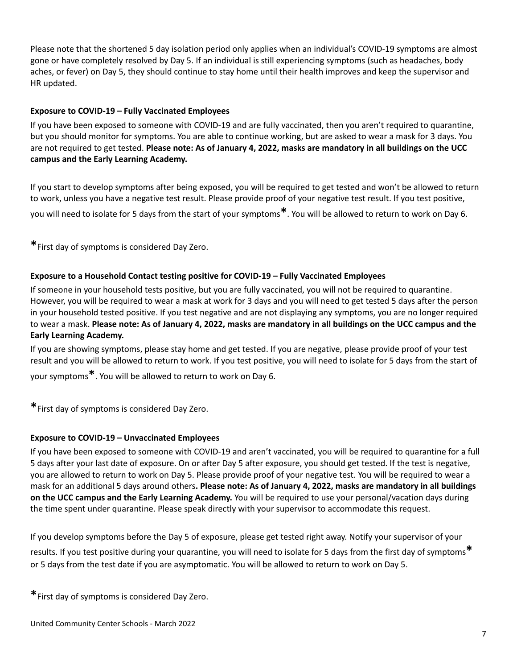Please note that the shortened 5 day isolation period only applies when an individual's COVID-19 symptoms are almost gone or have completely resolved by Day 5. If an individual is still experiencing symptoms (such as headaches, body aches, or fever) on Day 5, they should continue to stay home until their health improves and keep the supervisor and HR updated.

#### **Exposure to COVID-19 – Fully Vaccinated Employees**

If you have been exposed to someone with COVID-19 and are fully vaccinated, then you aren't required to quarantine, but you should monitor for symptoms. You are able to continue working, but are asked to wear a mask for 3 days. You are not required to get tested. Please note: As of January 4, 2022, masks are mandatory in all buildings on the UCC **campus and the Early Learning Academy.**

If you start to develop symptoms after being exposed, you will be required to get tested and won't be allowed to return to work, unless you have a negative test result. Please provide proof of your negative test result. If you test positive, you will need to isolate for <sup>5</sup> days from the start of your symptoms**\***. You will be allowed to return to work on Day 6.

**\***First day of symptoms is considered Day Zero.

#### **Exposure to a Household Contact testing positive for COVID-19 – Fully Vaccinated Employees**

If someone in your household tests positive, but you are fully vaccinated, you will not be required to quarantine. However, you will be required to wear a mask at work for 3 days and you will need to get tested 5 days after the person in your household tested positive. If you test negative and are not displaying any symptoms, you are no longer required to wear a mask. Please note: As of January 4, 2022, masks are mandatory in all buildings on the UCC campus and the **Early Learning Academy.**

If you are showing symptoms, please stay home and get tested. If you are negative, please provide proof of your test result and you will be allowed to return to work. If you test positive, you will need to isolate for 5 days from the start of your symptoms**\***. You will be allowed to return to work on Day 6.

**\***First day of symptoms is considered Day Zero.

#### **Exposure to COVID-19 – Unvaccinated Employees**

If you have been exposed to someone with COVID-19 and aren't vaccinated, you will be required to quarantine for a full 5 days after your last date of exposure. On or after Day 5 after exposure, you should get tested. If the test is negative, you are allowed to return to work on Day 5. Please provide proof of your negative test. You will be required to wear a mask for an additional 5 days around others**. Please note: As of January 4, 2022, masks are mandatory in all buildings on the UCC campus and the Early Learning Academy.** You will be required to use your personal/vacation days during the time spent under quarantine. Please speak directly with your supervisor to accommodate this request.

If you develop symptoms before the Day 5 of exposure, please get tested right away. Notify your supervisor of your results. If you test positive during your quarantine, you will need to isolate for <sup>5</sup> days from the first day of symptoms**\*** or 5 days from the test date if you are asymptomatic. You will be allowed to return to work on Day 5.

**\***First day of symptoms is considered Day Zero.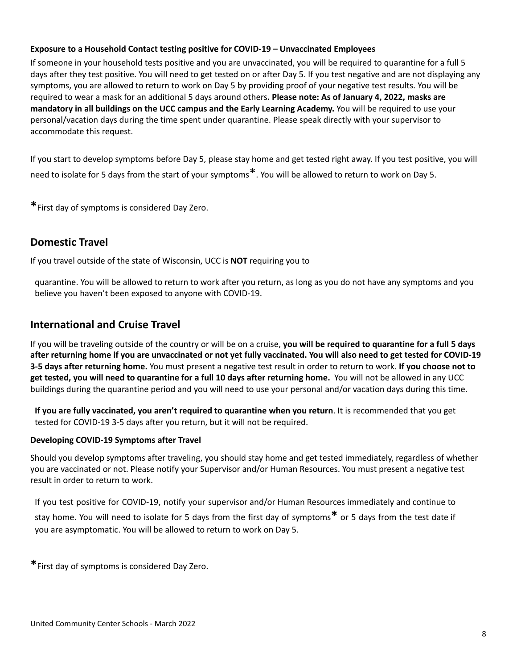#### **Exposure to a Household Contact testing positive for COVID-19 – Unvaccinated Employees**

If someone in your household tests positive and you are unvaccinated, you will be required to quarantine for a full 5 days after they test positive. You will need to get tested on or after Day 5. If you test negative and are not displaying any symptoms, you are allowed to return to work on Day 5 by providing proof of your negative test results. You will be required to wear a mask for an additional 5 days around others**. Please note: As of January 4, 2022, masks are mandatory in all buildings on the UCC campus and the Early Learning Academy.** You will be required to use your personal/vacation days during the time spent under quarantine. Please speak directly with your supervisor to accommodate this request.

If you start to develop symptoms before Day 5, please stay home and get tested right away. If you test positive, you will need to isolate for <sup>5</sup> days from the start of your symptoms\*. You will be allowed to return to work on Day 5.

**\***First day of symptoms is considered Day Zero.

#### **Domestic Travel**

If you travel outside of the state of Wisconsin, UCC is **NOT** requiring you to

quarantine. You will be allowed to return to work after you return, as long as you do not have any symptoms and you believe you haven't been exposed to anyone with COVID-19.

#### **International and Cruise Travel**

If you will be traveling outside of the country or will be on a cruise, **you will be required to quarantine for a full 5 days** after returning home if you are unvaccinated or not yet fully vaccinated. You will also need to get tested for COVID-19 **3-5 days after returning home.** You must present a negative test result in order to return to work. **If you choose not to get tested, you will need to quarantine for a full 10 days after returning home.** You will not be allowed in any UCC buildings during the quarantine period and you will need to use your personal and/or vacation days during this time.

**If you are fully vaccinated, you aren't required to quarantine when you return**. It is recommended that you get tested for COVID-19 3-5 days after you return, but it will not be required.

#### **Developing COVID-19 Symptoms after Travel**

Should you develop symptoms after traveling, you should stay home and get tested immediately, regardless of whether you are vaccinated or not. Please notify your Supervisor and/or Human Resources. You must present a negative test result in order to return to work.

If you test positive for COVID-19, notify your supervisor and/or Human Resources immediately and continue to stay home. You will need to isolate for <sup>5</sup> days from the first day of symptoms**\*** or <sup>5</sup> days from the test date if you are asymptomatic. You will be allowed to return to work on Day 5.

**\***First day of symptoms is considered Day Zero.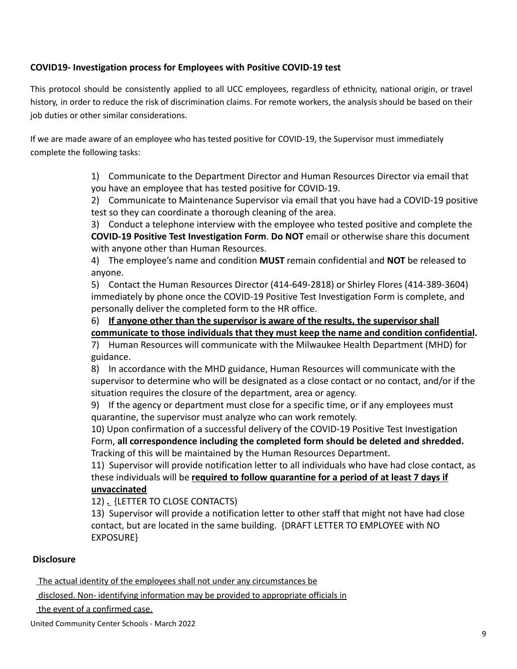#### **COVID19- Investigation process for Employees with Positive COVID-19 test**

This protocol should be consistently applied to all UCC employees, regardless of ethnicity, national origin, or travel history, in order to reduce the risk of discrimination claims. For remote workers, the analysis should be based on their job duties or other similar considerations.

If we are made aware of an employee who has tested positive for COVID-19, the Supervisor must immediately complete the following tasks:

> 1) Communicate to the Department Director and Human Resources Director via email that you have an employee that has tested positive for COVID-19.

2) Communicate to Maintenance Supervisor via email that you have had a COVID-19 positive test so they can coordinate a thorough cleaning of the area.

3) Conduct a telephone interview with the employee who tested positive and complete the **COVID-19 Positive Test Investigation Form**. **Do NOT** email or otherwise share this document with anyone other than Human Resources.

4) The employee's name and condition **MUST** remain confidential and **NOT** be released to anyone.

5) Contact the Human Resources Director (414-649-2818) or Shirley Flores (414-389-3604) immediately by phone once the COVID-19 Positive Test Investigation Form is complete, and personally deliver the completed form to the HR office.

6) **If anyone other than the supervisor is aware of the results, the supervisor shall**

**communicate to those individuals that they must keep the name and condition confidential.**

7) Human Resources will communicate with the Milwaukee Health Department (MHD) for guidance.

8) In accordance with the MHD guidance, Human Resources will communicate with the supervisor to determine who will be designated as a close contact or no contact, and/or if the situation requires the closure of the department, area or agency.

9) If the agency or department must close for a specific time, or if any employees must quarantine, the supervisor must analyze who can work remotely.

10) Upon confirmation of a successful delivery of the COVID-19 Positive Test Investigation Form, **all correspondence including the completed form should be deleted and shredded.** Tracking of this will be maintained by the Human Resources Department.

11) Supervisor will provide notification letter to all individuals who have had close contact, as these individuals will be **required to follow quarantine for a period of at least 7 days if unvaccinated**

12) **.** {LETTER TO CLOSE CONTACTS)

13) Supervisor will provide a notification letter to other staff that might not have had close contact, but are located in the same building. {DRAFT LETTER TO EMPLOYEE with NO EXPOSURE}

#### **Disclosure**

The actual identity of the employees shall not under any circumstances be

disclosed. Non- identifying information may be provided to appropriate officials in

the event of a confirmed case.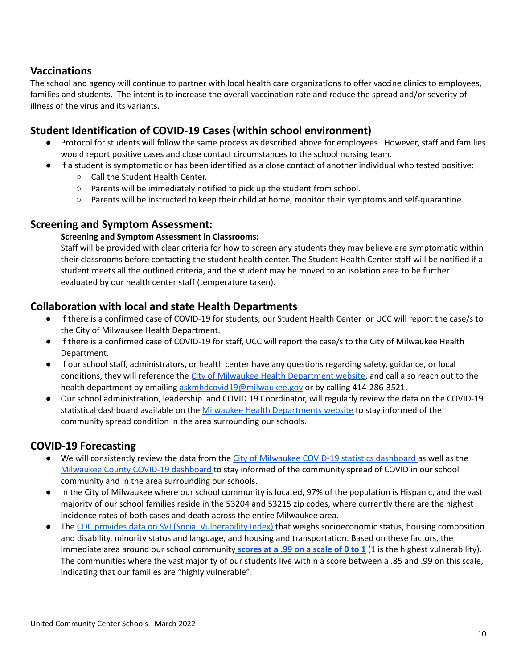## **Vaccinations**

The school and agency will continue to partner with local health care organizations to offer vaccine clinics to employees, families and students. The intent is to increase the overall vaccination rate and reduce the spread and/or severity of illness of the virus and its variants.

## **Student Identification of COVID-19 Cases (within school environment)**

- Protocol for students will follow the same process as described above for employees. However, staff and families would report positive cases and close contact circumstances to the school nursing team.
- If a student is symptomatic or has been identified as a close contact of another individual who tested positive:
	- Call the Student Health Center.
	- Parents will be immediately notified to pick up the student from school.
	- Parents will be instructed to keep their child at home, monitor their symptoms and self-quarantine.

#### **Screening and Symptom Assessment:**

#### **Screening and Symptom Assessment in Classrooms:**

Staff will be provided with clear criteria for how to screen any students they may believe are symptomatic within their classrooms before contacting the student health center. The Student Health Center staff will be notified if a student meets all the outlined criteria, and the student may be moved to an isolation area to be further evaluated by our health center staff (temperature taken).

#### **Collaboration with local and state Health Departments**

- If there is a confirmed case of COVID-19 for students, our Student Health Center or UCC will report the case/s to the City of Milwaukee Health Department.
- If there is a confirmed case of COVID-19 for staff, UCC will report the case/s to the City of Milwaukee Health Department.
- If our school staff, administrators, or health center have any questions regarding safety, guidance, or local conditions, they will reference the City of Milwaukee Health [Department](https://city.milwaukee.gov/coronavirus) website, and call also reach out to the health department by emailing [askmhdcovid19@milwaukee.gov](mailto:askmhdcovid19@milwaukee.gov) or by calling 414-286-3521.
- Our school administration, leadership and COVID 19 Coordinator, will regularly review the data on the COVID-19 statistical dashboard available on the Milwaukee Health [Departments](https://city.milwaukee.gov/coronavirus) website to stay informed of the community spread condition in the area surrounding our schools.

#### **COVID-19 Forecasting**

- We will consistently review the data from the City of [Milwaukee](https://city.milwaukee.gov/coronavirus) COVID-19 statistics dashboard as well as the [Milwaukee](https://county.milwaukee.gov/EN/COVID-19) County COVID-19 dashboard to stay informed of the community spread of COVID in our school community and in the area surrounding our schools.
- In the City of Milwaukee where our school community is located, 97% of the population is Hispanic, and the vast majority of our school families reside in the 53204 and 53215 zip codes, where currently there are the highest incidence rates of both cases and death across the entire Milwaukee area.
- The CDC provides data on SVI (Social [Vulnerability](https://svi.cdc.gov/) Index) that weighs socioeconomic status, housing composition and disability, minority status and language, and housing and transportation. Based on these factors, the immediate area around our school community **[scores](https://county.milwaukee.gov/EN/COVID-19) at a .99 on a scale of 0 to 1** (1 is the highest vulnerability). The communities where the vast majority of our students live within a score between a .85 and .99 on this scale, indicating that our families are "highly vulnerable".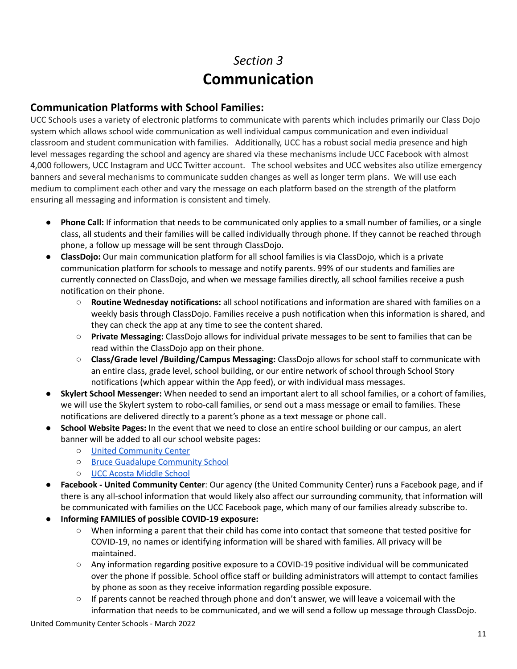# *Section 3* **Communication**

## **Communication Platforms with School Families:**

UCC Schools uses a variety of electronic platforms to communicate with parents which includes primarily our Class Dojo system which allows school wide communication as well individual campus communication and even individual classroom and student communication with families. Additionally, UCC has a robust social media presence and high level messages regarding the school and agency are shared via these mechanisms include UCC Facebook with almost 4,000 followers, UCC Instagram and UCC Twitter account. The school websites and UCC websites also utilize emergency banners and several mechanisms to communicate sudden changes as well as longer term plans. We will use each medium to compliment each other and vary the message on each platform based on the strength of the platform ensuring all messaging and information is consistent and timely.

- **Phone Call:** If information that needs to be communicated only applies to a small number of families, or a single class, all students and their families will be called individually through phone. If they cannot be reached through phone, a follow up message will be sent through ClassDojo.
- **ClassDojo:** Our main communication platform for all school families is via ClassDojo, which is a private communication platform for schools to message and notify parents. 99% of our students and families are currently connected on ClassDojo, and when we message families directly, all school families receive a push notification on their phone.
	- **Routine Wednesday notifications:** all school notifications and information are shared with families on a weekly basis through ClassDojo. Families receive a push notification when this information is shared, and they can check the app at any time to see the content shared.
	- **Private Messaging:** ClassDojo allows for individual private messages to be sent to families that can be read within the ClassDojo app on their phone.
	- **Class/Grade level /Building/Campus Messaging:** ClassDojo allows for school staff to communicate with an entire class, grade level, school building, or our entire network of school through School Story notifications (which appear within the App feed), or with individual mass messages.
- **Skylert School Messenger:** When needed to send an important alert to all school families, or a cohort of families, we will use the Skylert system to robo-call families, or send out a mass message or email to families. These notifications are delivered directly to a parent's phone as a text message or phone call.
- **School Website Pages:** In the event that we need to close an entire school building or our campus, an alert banner will be added to all our school website pages:
	- United [Community](http://www.unitedcc.org) Center
	- Bruce Guadalupe [Community](http://www.bgcsedu.org) School
	- UCC Acosta [Middle](http://www.uccacostams.org) School
- **Facebook - United Community Center**: Our agency (the United Community Center) runs a Facebook page, and if there is any all-school information that would likely also affect our surrounding community, that information will be communicated with families on the UCC Facebook page, which many of our families already subscribe to.
- **● Informing FAMILIES of possible COVID-19 exposure:**
	- When informing a parent that their child has come into contact that someone that tested positive for COVID-19, no names or identifying information will be shared with families. All privacy will be maintained.
	- Any information regarding positive exposure to a COVID-19 positive individual will be communicated over the phone if possible. School office staff or building administrators will attempt to contact families by phone as soon as they receive information regarding possible exposure.
	- If parents cannot be reached through phone and don't answer, we will leave a voicemail with the information that needs to be communicated, and we will send a follow up message through ClassDojo.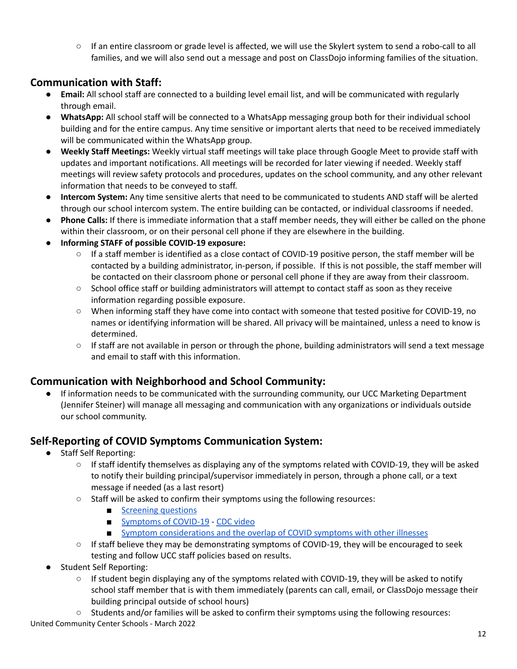○ If an entire classroom or grade level is affected, we will use the Skylert system to send a robo-call to all families, and we will also send out a message and post on ClassDojo informing families of the situation.

## **Communication with Staff:**

- **Email:** All school staff are connected to a building level email list, and will be communicated with regularly through email.
- **● WhatsApp:** All school staff will be connected to a WhatsApp messaging group both for their individual school building and for the entire campus. Any time sensitive or important alerts that need to be received immediately will be communicated within the WhatsApp group.
- **Weekly Staff Meetings:** Weekly virtual staff meetings will take place through Google Meet to provide staff with updates and important notifications. All meetings will be recorded for later viewing if needed. Weekly staff meetings will review safety protocols and procedures, updates on the school community, and any other relevant information that needs to be conveyed to staff.
- **Intercom System:** Any time sensitive alerts that need to be communicated to students AND staff will be alerted through our school intercom system. The entire building can be contacted, or individual classrooms if needed.
- **Phone Calls:** If there is immediate information that a staff member needs, they will either be called on the phone within their classroom, or on their personal cell phone if they are elsewhere in the building.
- **● Informing STAFF of possible COVID-19 exposure:**
	- If a staff member is identified as a close contact of COVID-19 positive person, the staff member will be contacted by a building administrator, in-person, if possible. If this is not possible, the staff member will be contacted on their classroom phone or personal cell phone if they are away from their classroom.
	- School office staff or building administrators will attempt to contact staff as soon as they receive information regarding possible exposure.
	- When informing staff they have come into contact with someone that tested positive for COVID-19, no names or identifying information will be shared. All privacy will be maintained, unless a need to know is determined.
	- If staff are not available in person or through the phone, building administrators will send a text message and email to staff with this information.

## **Communication with Neighborhood and School Community:**

If information needs to be communicated with the surrounding community, our UCC Marketing Department (Jennifer Steiner) will manage all messaging and communication with any organizations or individuals outside our school community.

## **Self-Reporting of COVID Symptoms Communication System:**

- **Staff Self Reporting:** 
	- If staff identify themselves as displaying any of the symptoms related with COVID-19, they will be asked to notify their building principal/supervisor immediately in person, through a phone call, or a text message if needed (as a last resort)
	- Staff will be asked to confirm their symptoms using the following resources:
		- [Screening](https://www.cdc.gov/coronavirus/2019-ncov/downloads/community/schools-childcare/Daily-Home-Screening-for-Students-Checklist-ACTIVE-rev5A.pdf) questions
		- [Symptoms](https://www.cdc.gov/coronavirus/2019-ncov/downloads/COVID19-symptoms.pdf) of COVID-19 CDC [video](https://www.youtube.com/watch?v=7zzfdYShvQU)
		- Symptom [considerations](https://www.cdc.gov/coronavirus/2019-ncov/downloads/community/schools-childcare/COVID19-symptoms-tablegraphic-v1.pdf) and the overlap of COVID symptoms with other illnesses
	- If staff believe they may be demonstrating symptoms of COVID-19, they will be encouraged to seek testing and follow UCC staff policies based on results.
- **Student Self Reporting:** 
	- If student begin displaying any of the symptoms related with COVID-19, they will be asked to notify school staff member that is with them immediately (parents can call, email, or ClassDojo message their building principal outside of school hours)
	- Students and/or families will be asked to confirm their symptoms using the following resources: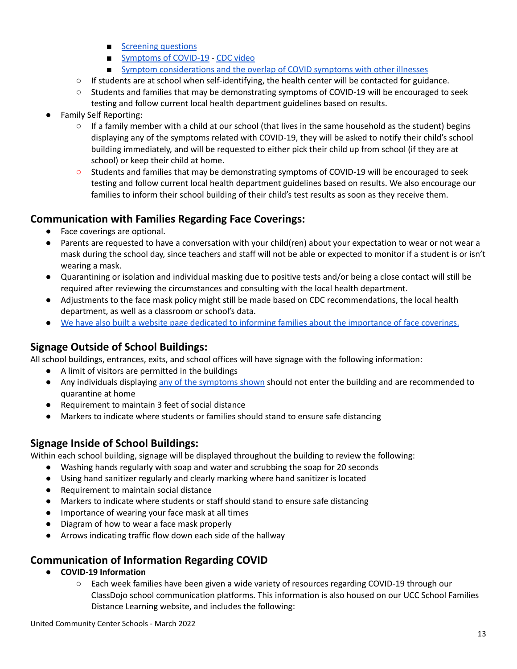- [Screening](https://www.cdc.gov/coronavirus/2019-ncov/downloads/community/schools-childcare/Daily-Home-Screening-for-Students-Checklist-ACTIVE-rev5A.pdf) questions
- [Symptoms](https://www.cdc.gov/coronavirus/2019-ncov/downloads/COVID19-symptoms.pdf) of COVID-19 CDC [video](https://www.youtube.com/watch?v=7zzfdYShvQU)
- **■** Symptom [considerations](https://www.cdc.gov/coronavirus/2019-ncov/downloads/community/schools-childcare/COVID19-symptoms-tablegraphic-v1.pdf) and the overlap of COVID symptoms with other illnesses
- If students are at school when self-identifying, the health center will be contacted for guidance.
- Students and families that may be demonstrating symptoms of COVID-19 will be encouraged to seek testing and follow current local health department guidelines based on results.
- Family Self Reporting:
	- $\circ$  If a family member with a child at our school (that lives in the same household as the student) begins displaying any of the symptoms related with COVID-19, they will be asked to notify their child's school building immediately, and will be requested to either pick their child up from school (if they are at school) or keep their child at home.
	- Students and families that may be demonstrating symptoms of COVID-19 will be encouraged to seek testing and follow current local health department guidelines based on results. We also encourage our families to inform their school building of their child's test results as soon as they receive them.

## **Communication with Families Regarding Face Coverings:**

- Face coverings are optional.
- Parents are requested to have a conversation with your child(ren) about your expectation to wear or not wear a mask during the school day, since teachers and staff will not be able or expected to monitor if a student is or isn't wearing a mask.
- Quarantining or isolation and individual masking due to positive tests and/or being a close contact will still be required after reviewing the circumstances and consulting with the local health department.
- Adjustments to the face mask policy might still be made based on CDC recommendations, the local health department, as well as a classroom or school's data.
- We have also built a website page dedicated to informing families about the [importance](https://sites.google.com/bgcsedu.org/uccschoolsdistancelearning/community-resources/wearing-a-face-mask) of face coverings.

## **Signage Outside of School Buildings:**

All school buildings, entrances, exits, and school offices will have signage with the following information:

- A limit of visitors are permitted in the buildings
- Any individuals displaying any of the [symptoms](https://www.cdc.gov/coronavirus/2019-ncov/downloads/COVID19-symptoms.pdf) shown should not enter the building and are recommended to quarantine at home
- Requirement to maintain 3 feet of social distance
- Markers to indicate where students or families should stand to ensure safe distancing

## **Signage Inside of School Buildings:**

Within each school building, signage will be displayed throughout the building to review the following:

- Washing hands regularly with soap and water and scrubbing the soap for 20 seconds
- Using hand sanitizer regularly and clearly marking where hand sanitizer is located
- Requirement to maintain social distance
- Markers to indicate where students or staff should stand to ensure safe distancing
- Importance of wearing your face mask at all times
- Diagram of how to wear a face mask properly
- Arrows indicating traffic flow down each side of the hallway

## **Communication of Information Regarding COVID**

- **● COVID-19 Information**
	- Each week families have been given a wide variety of resources regarding COVID-19 through our ClassDojo school communication platforms. This information is also housed on our UCC School Families Distance Learning website, and includes the following: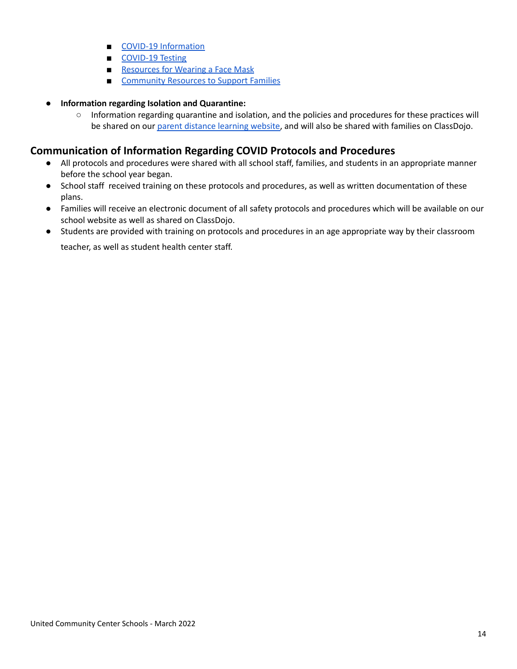- COVID-19 [Information](https://sites.google.com/bgcsedu.org/uccschoolsdistancelearning/community-resources/covid-19-information)
- [COVID-19](https://sites.google.com/bgcsedu.org/uccschoolsdistancelearning/community-resources/covid-19-testing) Testing
- [Resources](https://sites.google.com/bgcsedu.org/uccschoolsdistancelearning/community-resources/wearing-a-face-mask) for Wearing a Face Mask
- [Community](https://sites.google.com/bgcsedu.org/uccschoolsdistancelearning/community-resources) Resources to Support Families
- **● Information regarding Isolation and Quarantine:**
	- Information regarding quarantine and isolation, and the policies and procedures for these practices will be shared on our parent [distance](https://sites.google.com/bgcsedu.org/uccschoolsdistancelearning/academic-resources/ucc-school-re-opening/isolation-quarantine-procedures) learning website, and will also be shared with families on ClassDojo.

## **Communication of Information Regarding COVID Protocols and Procedures**

- All protocols and procedures were shared with all school staff, families, and students in an appropriate manner before the school year began.
- School staff received training on these protocols and procedures, as well as written documentation of these plans.
- Families will receive an electronic document of all safety protocols and procedures which will be available on our school website as well as shared on ClassDojo.
- Students are provided with training on protocols and procedures in an age appropriate way by their classroom teacher, as well as student health center staff.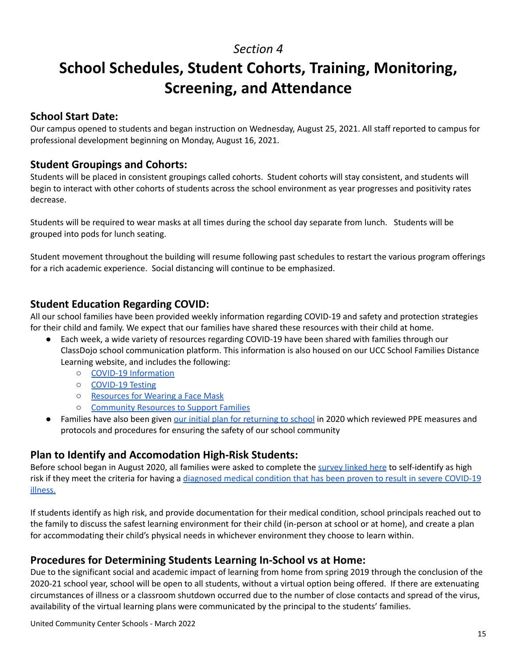# **School Schedules, Student Cohorts, Training, Monitoring, Screening, and Attendance**

#### **School Start Date:**

Our campus opened to students and began instruction on Wednesday, August 25, 2021. All staff reported to campus for professional development beginning on Monday, August 16, 2021.

#### **Student Groupings and Cohorts:**

Students will be placed in consistent groupings called cohorts. Student cohorts will stay consistent, and students will begin to interact with other cohorts of students across the school environment as year progresses and positivity rates decrease.

Students will be required to wear masks at all times during the school day separate from lunch. Students will be grouped into pods for lunch seating.

Student movement throughout the building will resume following past schedules to restart the various program offerings for a rich academic experience. Social distancing will continue to be emphasized.

#### **Student Education Regarding COVID:**

All our school families have been provided weekly information regarding COVID-19 and safety and protection strategies for their child and family. We expect that our families have shared these resources with their child at home.

- Each week, a wide variety of resources regarding COVID-19 have been shared with families through our ClassDojo school communication platform. This information is also housed on our UCC School Families Distance Learning website, and includes the following:
	- COVID-19 [Information](https://sites.google.com/bgcsedu.org/uccschoolsdistancelearning/community-resources/covid-19-information)
	- [COVID-19](https://sites.google.com/bgcsedu.org/uccschoolsdistancelearning/community-resources/covid-19-testing) Testing
	- [Resources](https://sites.google.com/bgcsedu.org/uccschoolsdistancelearning/community-resources/wearing-a-face-mask) for Wearing a Face Mask
	- [Community](https://sites.google.com/bgcsedu.org/uccschoolsdistancelearning/community-resources) Resources to Support Families
- Families have also been given our initial plan for [returning](https://docs.google.com/document/d/1ARQACXTiw8yfq98I8xzjieRroY2jtLtcqTldqF4wmpo/edit?usp=sharing) to school in 2020 which reviewed PPE measures and protocols and procedures for ensuring the safety of our school community

## **Plan to Identify and Accomodation High-Risk Students:**

Before school began in August 2020, all families were asked to complete the [survey](https://forms.gle/EpuUJ75pQWjtFeP49) linked here to self-identify as high risk if they meet the criteria for having a [diagnosed](https://www.cdc.gov/coronavirus/2019-ncov/need-extra-precautions/people-with-medical-conditions.html?CDC_AA_refVal=https%3A%2F%2Fwww.cdc.gov%2Fcoronavirus%2F2019-ncov%2Fneed-extra-precautions%2Fgroups-at-higher-risk.html) medical condition that has been proven to result in severe COVID-19 [illness.](https://www.cdc.gov/coronavirus/2019-ncov/need-extra-precautions/people-with-medical-conditions.html?CDC_AA_refVal=https%3A%2F%2Fwww.cdc.gov%2Fcoronavirus%2F2019-ncov%2Fneed-extra-precautions%2Fgroups-at-higher-risk.html)

If students identify as high risk, and provide documentation for their medical condition, school principals reached out to the family to discuss the safest learning environment for their child (in-person at school or at home), and create a plan for accommodating their child's physical needs in whichever environment they choose to learn within.

## **Procedures for Determining Students Learning In-School vs at Home:**

Due to the significant social and academic impact of learning from home from spring 2019 through the conclusion of the 2020-21 school year, school will be open to all students, without a virtual option being offered. If there are extenuating circumstances of illness or a classroom shutdown occurred due to the number of close contacts and spread of the virus, availability of the virtual learning plans were communicated by the principal to the students' families.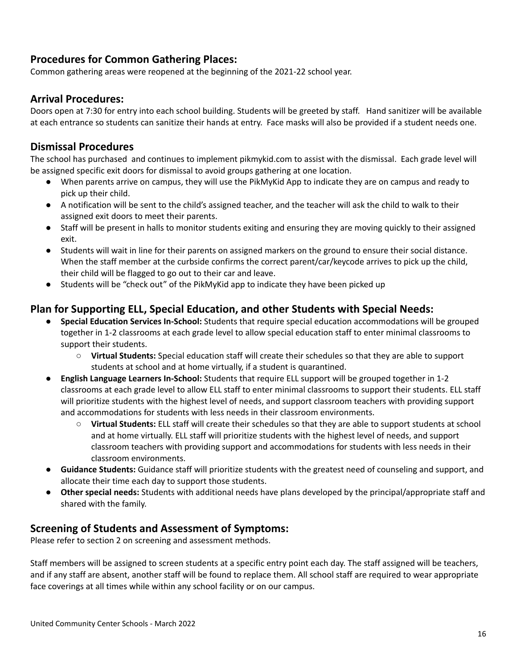## **Procedures for Common Gathering Places:**

Common gathering areas were reopened at the beginning of the 2021-22 school year.

#### **Arrival Procedures:**

Doors open at 7:30 for entry into each school building. Students will be greeted by staff. Hand sanitizer will be available at each entrance so students can sanitize their hands at entry. Face masks will also be provided if a student needs one.

## **Dismissal Procedures**

The school has purchased and continues to implement pikmykid.com to assist with the dismissal. Each grade level will be assigned specific exit doors for dismissal to avoid groups gathering at one location.

- When parents arrive on campus, they will use the PikMyKid App to indicate they are on campus and ready to pick up their child.
- A notification will be sent to the child's assigned teacher, and the teacher will ask the child to walk to their assigned exit doors to meet their parents.
- Staff will be present in halls to monitor students exiting and ensuring they are moving quickly to their assigned exit.
- Students will wait in line for their parents on assigned markers on the ground to ensure their social distance. When the staff member at the curbside confirms the correct parent/car/keycode arrives to pick up the child, their child will be flagged to go out to their car and leave.
- Students will be "check out" of the PikMyKid app to indicate they have been picked up

## **Plan for Supporting ELL, Special Education, and other Students with Special Needs:**

- **Special Education Services In-School:** Students that require special education accommodations will be grouped together in 1-2 classrooms at each grade level to allow special education staff to enter minimal classrooms to support their students.
	- **Virtual Students:** Special education staff will create their schedules so that they are able to support students at school and at home virtually, if a student is quarantined.
- **English Language Learners In-School:** Students that require ELL support will be grouped together in 1-2 classrooms at each grade level to allow ELL staff to enter minimal classrooms to support their students. ELL staff will prioritize students with the highest level of needs, and support classroom teachers with providing support and accommodations for students with less needs in their classroom environments.
	- **Virtual Students:** ELL staff will create their schedules so that they are able to support students at school and at home virtually. ELL staff will prioritize students with the highest level of needs, and support classroom teachers with providing support and accommodations for students with less needs in their classroom environments.
- **Guidance Students:** Guidance staff will prioritize students with the greatest need of counseling and support, and allocate their time each day to support those students.
- **● Other special needs:** Students with additional needs have plans developed by the principal/appropriate staff and shared with the family.

## **Screening of Students and Assessment of Symptoms:**

Please refer to section 2 on screening and assessment methods.

Staff members will be assigned to screen students at a specific entry point each day. The staff assigned will be teachers, and if any staff are absent, another staff will be found to replace them. All school staff are required to wear appropriate face coverings at all times while within any school facility or on our campus.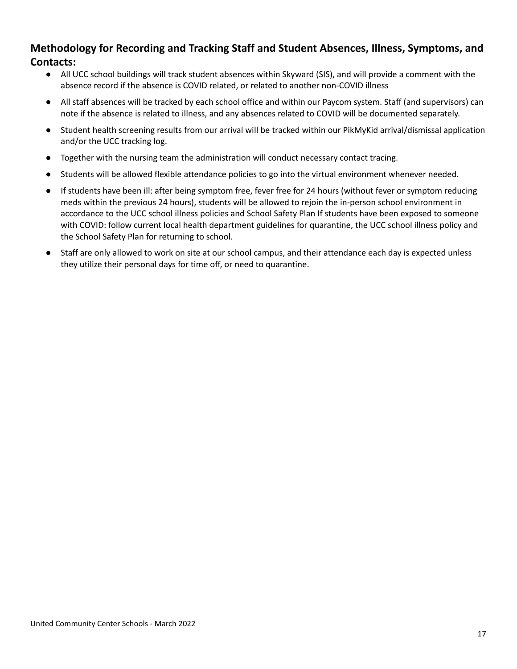## **Methodology for Recording and Tracking Staff and Student Absences, Illness, Symptoms, and Contacts:**

- All UCC school buildings will track student absences within Skyward (SIS), and will provide a comment with the absence record if the absence is COVID related, or related to another non-COVID illness
- All staff absences will be tracked by each school office and within our Paycom system. Staff (and supervisors) can note if the absence is related to illness, and any absences related to COVID will be documented separately.
- Student health screening results from our arrival will be tracked within our PikMyKid arrival/dismissal application and/or the UCC tracking log.
- Together with the nursing team the administration will conduct necessary contact tracing.
- Students will be allowed flexible attendance policies to go into the virtual environment whenever needed.
- If students have been ill: after being symptom free, fever free for 24 hours (without fever or symptom reducing meds within the previous 24 hours), students will be allowed to rejoin the in-person school environment in accordance to the UCC school illness policies and School Safety Plan If students have been exposed to someone with COVID: follow current local health department guidelines for quarantine, the UCC school illness policy and the School Safety Plan for returning to school.
- Staff are only allowed to work on site at our school campus, and their attendance each day is expected unless they utilize their personal days for time off, or need to quarantine.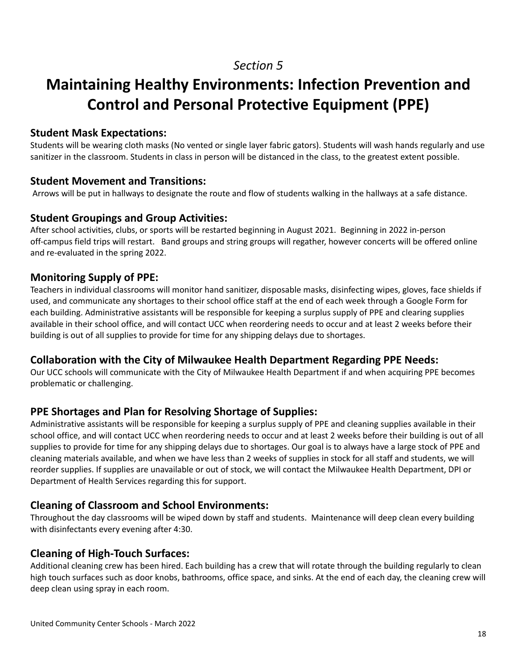# **Maintaining Healthy Environments: Infection Prevention and Control and Personal Protective Equipment (PPE)**

#### **Student Mask Expectations:**

Students will be wearing cloth masks (No vented or single layer fabric gators). Students will wash hands regularly and use sanitizer in the classroom. Students in class in person will be distanced in the class, to the greatest extent possible.

#### **Student Movement and Transitions:**

Arrows will be put in hallways to designate the route and flow of students walking in the hallways at a safe distance.

#### **Student Groupings and Group Activities:**

After school activities, clubs, or sports will be restarted beginning in August 2021. Beginning in 2022 in-person off-campus field trips will restart. Band groups and string groups will regather, however concerts will be offered online and re-evaluated in the spring 2022.

#### **Monitoring Supply of PPE:**

Teachers in individual classrooms will monitor hand sanitizer, disposable masks, disinfecting wipes, gloves, face shields if used, and communicate any shortages to their school office staff at the end of each week through a Google Form for each building. Administrative assistants will be responsible for keeping a surplus supply of PPE and clearing supplies available in their school office, and will contact UCC when reordering needs to occur and at least 2 weeks before their building is out of all supplies to provide for time for any shipping delays due to shortages.

#### **Collaboration with the City of Milwaukee Health Department Regarding PPE Needs:**

Our UCC schools will communicate with the City of Milwaukee Health Department if and when acquiring PPE becomes problematic or challenging.

## **PPE Shortages and Plan for Resolving Shortage of Supplies:**

Administrative assistants will be responsible for keeping a surplus supply of PPE and cleaning supplies available in their school office, and will contact UCC when reordering needs to occur and at least 2 weeks before their building is out of all supplies to provide for time for any shipping delays due to shortages. Our goal is to always have a large stock of PPE and cleaning materials available, and when we have less than 2 weeks of supplies in stock for all staff and students, we will reorder supplies. If supplies are unavailable or out of stock, we will contact the Milwaukee Health Department, DPI or Department of Health Services regarding this for support.

## **Cleaning of Classroom and School Environments:**

Throughout the day classrooms will be wiped down by staff and students. Maintenance will deep clean every building with disinfectants every evening after 4:30.

## **Cleaning of High-Touch Surfaces:**

Additional cleaning crew has been hired. Each building has a crew that will rotate through the building regularly to clean high touch surfaces such as door knobs, bathrooms, office space, and sinks. At the end of each day, the cleaning crew will deep clean using spray in each room.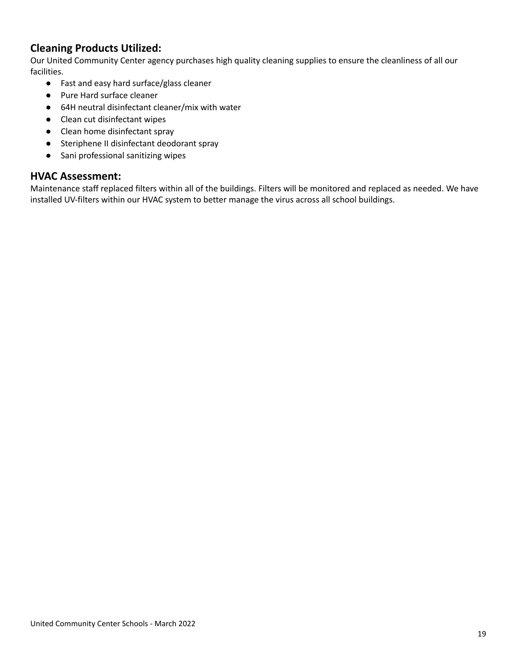## **Cleaning Products Utilized:**

Our United Community Center agency purchases high quality cleaning supplies to ensure the cleanliness of all our facilities.

- Fast and easy hard surface/glass cleaner
- Pure Hard surface cleaner
- 64H neutral disinfectant cleaner/mix with water
- Clean cut disinfectant wipes
- Clean home disinfectant spray
- Steriphene II disinfectant deodorant spray
- Sani professional sanitizing wipes

#### **HVAC Assessment:**

Maintenance staff replaced filters within all of the buildings. Filters will be monitored and replaced as needed. We have installed UV-filters within our HVAC system to better manage the virus across all school buildings.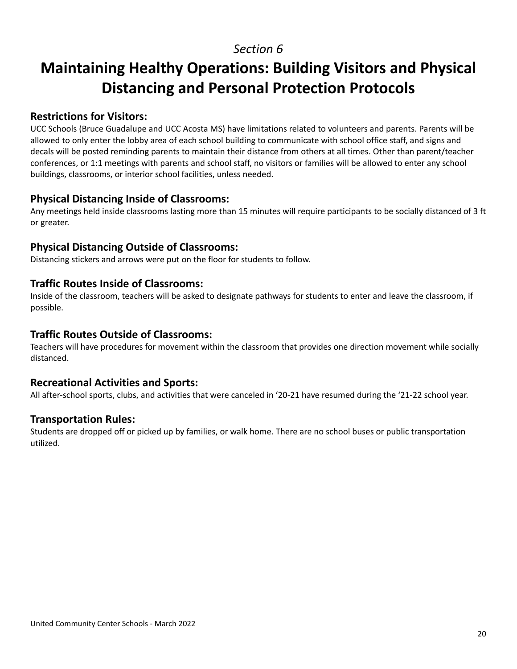# **Maintaining Healthy Operations: Building Visitors and Physical Distancing and Personal Protection Protocols**

#### **Restrictions for Visitors:**

UCC Schools (Bruce Guadalupe and UCC Acosta MS) have limitations related to volunteers and parents. Parents will be allowed to only enter the lobby area of each school building to communicate with school office staff, and signs and decals will be posted reminding parents to maintain their distance from others at all times. Other than parent/teacher conferences, or 1:1 meetings with parents and school staff, no visitors or families will be allowed to enter any school buildings, classrooms, or interior school facilities, unless needed.

## **Physical Distancing Inside of Classrooms:**

Any meetings held inside classrooms lasting more than 15 minutes will require participants to be socially distanced of 3 ft or greater.

## **Physical Distancing Outside of Classrooms:**

Distancing stickers and arrows were put on the floor for students to follow.

#### **Traffic Routes Inside of Classrooms:**

Inside of the classroom, teachers will be asked to designate pathways for students to enter and leave the classroom, if possible.

#### **Traffic Routes Outside of Classrooms:**

Teachers will have procedures for movement within the classroom that provides one direction movement while socially distanced.

#### **Recreational Activities and Sports:**

All after-school sports, clubs, and activities that were canceled in '20-21 have resumed during the '21-22 school year.

#### **Transportation Rules:**

Students are dropped off or picked up by families, or walk home. There are no school buses or public transportation utilized.